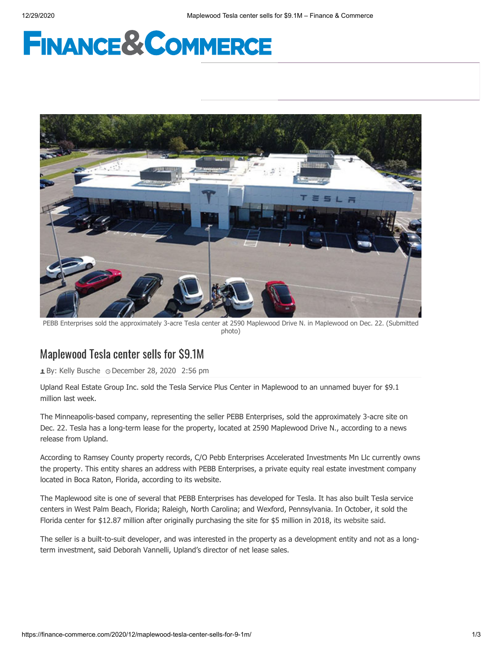# **FINANCE&COMMERCE**



PEBB Enterprises sold the approximately 3-acre Tesla center at 2590 Maplewood Drive N. in Maplewood on Dec. 22. (Submitted photo)

## Maplewood Tesla center sells for \$9.1M

**1** By: [Kelly Busche](https://finance-commerce.com/author/kellybusche/) 
o December 28, 2020 2:56 pm

Upland Real Estate Group Inc. sold the Tesla Service Plus Center in Maplewood to an unnamed buyer for \$9.1 million last week.

The Minneapolis-based company, representing the seller PEBB Enterprises, sold the approximately 3-acre site on Dec. 22. Tesla has a long-term lease for the property, located at 2590 Maplewood Drive N., according to a news release from Upland.

According to Ramsey County property records, C/O Pebb Enterprises Accelerated Investments Mn Llc currently owns the property. This entity shares an address with PEBB Enterprises, a private equity real estate investment company located in Boca Raton, Florida, according to its website.

The Maplewood site is one of several that PEBB Enterprises has developed for Tesla. It has also built Tesla service centers in West Palm Beach, Florida; Raleigh, North Carolina; and Wexford, Pennsylvania. In October, it sold the Florida center for \$12.87 million after originally purchasing the site for \$5 million in 2018, [its website said](https://pebbenterprises.com/pebb-enterprises-closes-12-87-million-sale-of-tesla-service-plus-in-west-palm-beach/).

The seller is a built-to-suit developer, and was interested in the property as a development entity and not as a longterm investment, said Deborah Vannelli, Upland's director of net lease sales.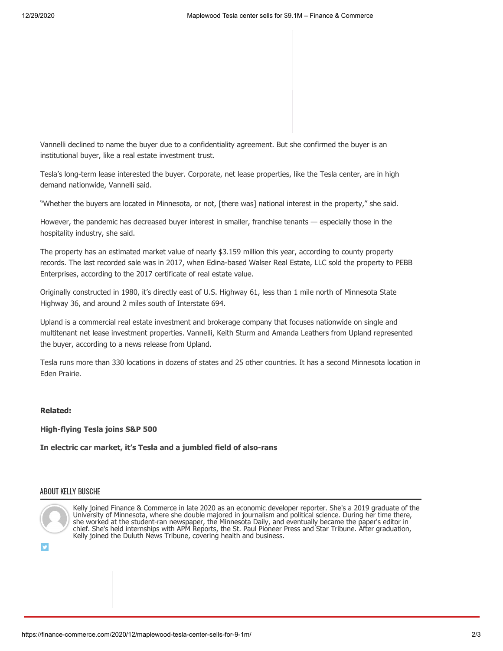Vannelli declined to name the buyer due to a confidentiality agreement. But she confirmed the buyer is an institutional buyer, like a real estate investment trust.

Tesla's long-term lease interested the buyer. Corporate, net lease properties, like the Tesla center, are in high demand nationwide, Vannelli said.

"Whether the buyers are located in Minnesota, or not, [there was] national interest in the property," she said.

However, the pandemic has decreased buyer interest in smaller, franchise tenants — especially those in the hospitality industry, she said.

The property has an estimated market value of nearly \$3.159 million this year, according to county property records. The last recorded sale was in 2017, when Edina-based Walser Real Estate, LLC sold the property to PEBB Enterprises, according to the 2017 certificate of real estate value.

Originally constructed in 1980, it's directly east of U.S. Highway 61, less than 1 mile north of Minnesota State Highway 36, and around 2 miles south of Interstate 694.

Upland is a commercial real estate investment and brokerage company that focuses nationwide on single and multitenant net lease investment properties. Vannelli, Keith Sturm and Amanda Leathers from Upland represented the buyer, according to a news release from Upland.

Tesla runs more than 330 locations in dozens of states and 25 other countries. It has a second Minnesota location in Eden Prairie.

## **Related:**

**[High-flying Tesla joins S&P 500](https://finance-commerce.com/2020/12/high-flying-tesla-joins-sp-500/)**

**[In electric car market, it's Tesla and a jumbled field of also-rans](https://finance-commerce.com/2020/07/in-electric-car-market-its-tesla-and-a-jumbled-field-of-also-rans/)**

## ABOUT KELLY BUSCHE



Kelly joined Finance & Commerce in late 2020 as an economic developer reporter. She's a 2019 graduate of the University of Minnesota, where she double majored in journalism and political science. During her time there, she worked at the student-ran newspaper, the Minnesota Daily, and eventually became the paper's editor in chief. She's held internships with APM Reports, the St. Paul Pioneer Press and Star Tribune. After graduation, Kelly joined the Duluth News Tribune, covering health and business.